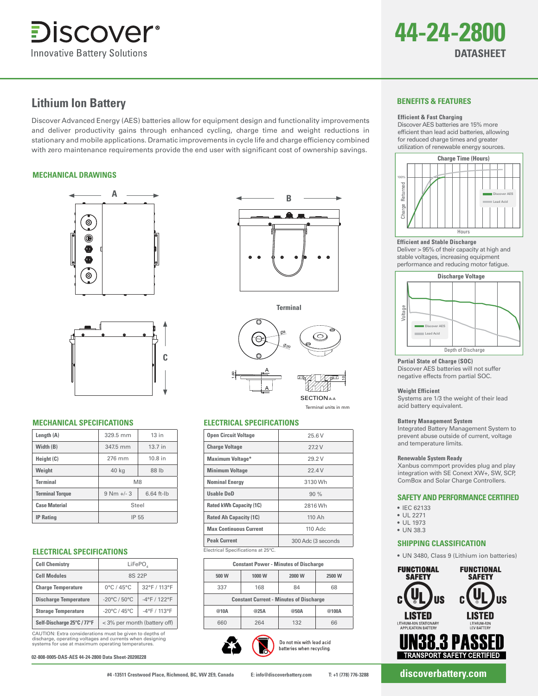



# **Lithium Ion Battery**

Discover Advanced Energy (AES) batteries allow for equipment design and functionality improvements and deliver productivity gains through enhanced cycling, charge time and weight reductions in stationary and mobile applications. Dramatic improvements in cycle life and charge efficiency combined with zero maintenance requirements provide the end user with significant cost of ownership savings.

#### **MECHANICAL DRAWINGS**





# **MECHANICAL SPECIFICATIONS ELECTRICAL SPECIFICATIONS**

| Length (A)             | 329.5 mm       | $13$ in      |
|------------------------|----------------|--------------|
| Width (B)              | 347.5 mm       | 13.7 in      |
| Height (C)             | 276 mm         | $10.8$ in    |
| Weight                 | 40 kg          | 88 lb        |
| <b>Terminal</b>        | M <sub>8</sub> |              |
| <b>Terminal Torque</b> | $9 Nm + 3$     | $6.64$ ft-lb |
| <b>Case Material</b>   | Steel          |              |
| <b>IP Rating</b>       | IP 55          |              |

#### **ELECTRICAL SPECIFICATIONS**

| <b>Cell Chemistry</b>        | LiFePO,<br>8S 22P                 |                 |
|------------------------------|-----------------------------------|-----------------|
|                              |                                   |                 |
| <b>Cell Modules</b>          |                                   |                 |
| <b>Charge Temperature</b>    | $0^{\circ}$ C / 45 $^{\circ}$ C   | 32°F / 113°F    |
| <b>Discharge Temperature</b> | $-20^{\circ}$ C / 50 $^{\circ}$ C | $-4$ °F / 122°F |
| <b>Storage Temperature</b>   | $-20^{\circ}$ C / 45 $^{\circ}$ C | -4°F / 113°F    |
| Self-Discharge 25°C / 77°F   | < 3% per month (battery off)      |                 |

CAUTION: Extra considerations must be given to depths of discharge, operating voltages and currents when designing systems for use at maximum operating temperatures.

**02-808-0005-DAS-AES 44-24-2800 Data Sheet-20200228**



**Terminal** 8 20 A

 $\frac{1}{2}$ SECTION <sub>4-4</sub>

Terminal units in mm

A

1.60

| <b>Open Circuit Voltage</b>        | 25.6 V             |  |
|------------------------------------|--------------------|--|
| <b>Charge Voltage</b>              | 272V               |  |
| <b>Maximum Voltage*</b>            | 29.2 V             |  |
| <b>Minimum Voltage</b>             | 22.4V              |  |
| <b>Nominal Energy</b>              | 3130 Wh            |  |
| <b>Usable DoD</b>                  | 90%                |  |
| <b>Rated kWh Capacity (1C)</b>     | 2816 Wh            |  |
| <b>Rated Ah Capacity (1C)</b>      | 110 Ah             |  |
| <b>Max Continuous Current</b>      | $110$ Adc          |  |
| <b>Peak Current</b>                | 300 Adc (3 seconds |  |
| Electrical Specifications at 25°C. |                    |  |

Electrical Specifications at 25°C.

|                                                | <b>Constant Power - Minutes of Discharge</b> |        |        |  |  |
|------------------------------------------------|----------------------------------------------|--------|--------|--|--|
| 500 W                                          | 1000 W                                       | 2000 W | 2500 W |  |  |
| 337                                            | 168                                          | 84     | 68     |  |  |
| <b>Constant Current - Minutes of Discharge</b> |                                              |        |        |  |  |
| @10A                                           | @25A                                         | @50A   | @100A  |  |  |
| 660                                            | 264                                          | 132    | 66     |  |  |

Do not mix with lead acid batteries when recycling.

# **BENEFITS & FEATURES**

#### **Efficient & Fast Charging**

Discover AES batteries are 15% more efficient than lead acid batteries, allowing for reduced charge times and greater utilization of renewable energy sources.



#### **Efficient and Stable Discharge**

Deliver > 95% of their capacity at high and stable voltages, increasing equipment performance and reducing motor fatigue.



**Partial State of Charge (SOC)**

Discover AES batteries will not suffer negative effects from partial SOC.

#### **Weight Efficient**

Systems are 1/3 the weight of their lead acid battery equivalent.

#### **Battery Management System**

Integrated Battery Management System to prevent abuse outside of current, voltage and temperature limits.

#### **Renewable System Ready**

Xanbus commport provides plug and play integration with SE Conext XW+, SW, SCP, ComBox and Solar Charge Controllers.

#### **SAFETY AND PERFORMANCE CERTIFIED**

- IEC 62133
- UL 2271
- UL 1973 • UN 38.3
- 

# **SHIPPING CLASSIFICATION**

• UN 3480, Class 9 (Lithium ion batteries)